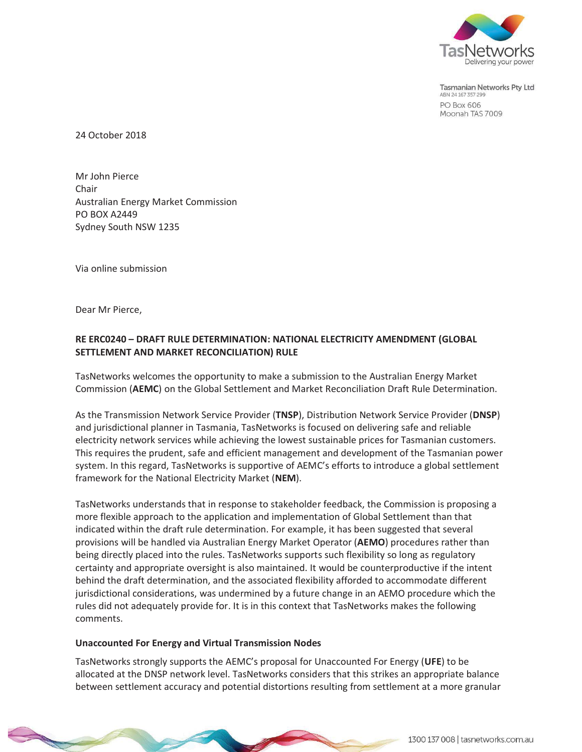

Tasmanian Networks Pty Ltd ABN 24 167 357 299 **PO Box 606** Moonah TAS 7009

24 October 2018

Mr John Pierce Chair Australian Energy Market Commission PO BOX A2449 Sydney South NSW 1235

Via online submission

Dear Mr Pierce,

## **RE ERC0240 – DRAFT RULE DETERMINATION: NATIONAL ELECTRICITY AMENDMENT (GLOBAL SETTLEMENT AND MARKET RECONCILIATION) RULE**

TasNetworks welcomes the opportunity to make a submission to the Australian Energy Market Commission (**AEMC**) on the Global Settlement and Market Reconciliation Draft Rule Determination.

As the Transmission Network Service Provider (**TNSP**), Distribution Network Service Provider (**DNSP**) and jurisdictional planner in Tasmania, TasNetworks is focused on delivering safe and reliable electricity network services while achieving the lowest sustainable prices for Tasmanian customers. This requires the prudent, safe and efficient management and development of the Tasmanian power system. In this regard, TasNetworks is supportive of AEMC's efforts to introduce a global settlement framework for the National Electricity Market (**NEM**).

TasNetworks understands that in response to stakeholder feedback, the Commission is proposing a more flexible approach to the application and implementation of Global Settlement than that indicated within the draft rule determination. For example, it has been suggested that several provisions will be handled via Australian Energy Market Operator (**AEMO**) procedures rather than being directly placed into the rules. TasNetworks supports such flexibility so long as regulatory certainty and appropriate oversight is also maintained. It would be counterproductive if the intent behind the draft determination, and the associated flexibility afforded to accommodate different jurisdictional considerations, was undermined by a future change in an AEMO procedure which the rules did not adequately provide for. It is in this context that TasNetworks makes the following comments.

## **Unaccounted For Energy and Virtual Transmission Nodes**

TasNetworks strongly supports the AEMC's proposal for Unaccounted For Energy (**UFE**) to be allocated at the DNSP network level. TasNetworks considers that this strikes an appropriate balance between settlement accuracy and potential distortions resulting from settlement at a more granular

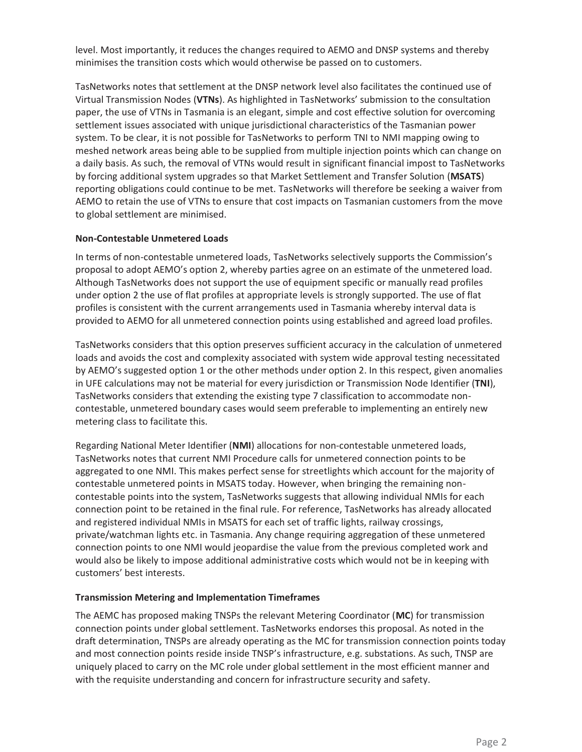level. Most importantly, it reduces the changes required to AEMO and DNSP systems and thereby minimises the transition costs which would otherwise be passed on to customers.

TasNetworks notes that settlement at the DNSP network level also facilitates the continued use of Virtual Transmission Nodes (**VTNs**). As highlighted in TasNetworks' submission to the consultation paper, the use of VTNs in Tasmania is an elegant, simple and cost effective solution for overcoming settlement issues associated with unique jurisdictional characteristics of the Tasmanian power system. To be clear, it is not possible for TasNetworks to perform TNI to NMI mapping owing to meshed network areas being able to be supplied from multiple injection points which can change on a daily basis. As such, the removal of VTNs would result in significant financial impost to TasNetworks by forcing additional system upgrades so that Market Settlement and Transfer Solution (**MSATS**) reporting obligations could continue to be met. TasNetworks will therefore be seeking a waiver from AEMO to retain the use of VTNs to ensure that cost impacts on Tasmanian customers from the move to global settlement are minimised.

## **Non-Contestable Unmetered Loads**

In terms of non-contestable unmetered loads, TasNetworks selectively supports the Commission's proposal to adopt AEMO's option 2, whereby parties agree on an estimate of the unmetered load. Although TasNetworks does not support the use of equipment specific or manually read profiles under option 2 the use of flat profiles at appropriate levels is strongly supported. The use of flat profiles is consistent with the current arrangements used in Tasmania whereby interval data is provided to AEMO for all unmetered connection points using established and agreed load profiles.

TasNetworks considers that this option preserves sufficient accuracy in the calculation of unmetered loads and avoids the cost and complexity associated with system wide approval testing necessitated by AEMO's suggested option 1 or the other methods under option 2. In this respect, given anomalies in UFE calculations may not be material for every jurisdiction or Transmission Node Identifier (**TNI**), TasNetworks considers that extending the existing type 7 classification to accommodate noncontestable, unmetered boundary cases would seem preferable to implementing an entirely new metering class to facilitate this.

Regarding National Meter Identifier (**NMI**) allocations for non-contestable unmetered loads, TasNetworks notes that current NMI Procedure calls for unmetered connection points to be aggregated to one NMI. This makes perfect sense for streetlights which account for the majority of contestable unmetered points in MSATS today. However, when bringing the remaining noncontestable points into the system, TasNetworks suggests that allowing individual NMIs for each connection point to be retained in the final rule. For reference, TasNetworks has already allocated and registered individual NMIs in MSATS for each set of traffic lights, railway crossings, private/watchman lights etc. in Tasmania. Any change requiring aggregation of these unmetered connection points to one NMI would jeopardise the value from the previous completed work and would also be likely to impose additional administrative costs which would not be in keeping with customers' best interests.

## **Transmission Metering and Implementation Timeframes**

The AEMC has proposed making TNSPs the relevant Metering Coordinator (**MC**) for transmission connection points under global settlement. TasNetworks endorses this proposal. As noted in the draft determination, TNSPs are already operating as the MC for transmission connection points today and most connection points reside inside TNSP's infrastructure, e.g. substations. As such, TNSP are uniquely placed to carry on the MC role under global settlement in the most efficient manner and with the requisite understanding and concern for infrastructure security and safety.